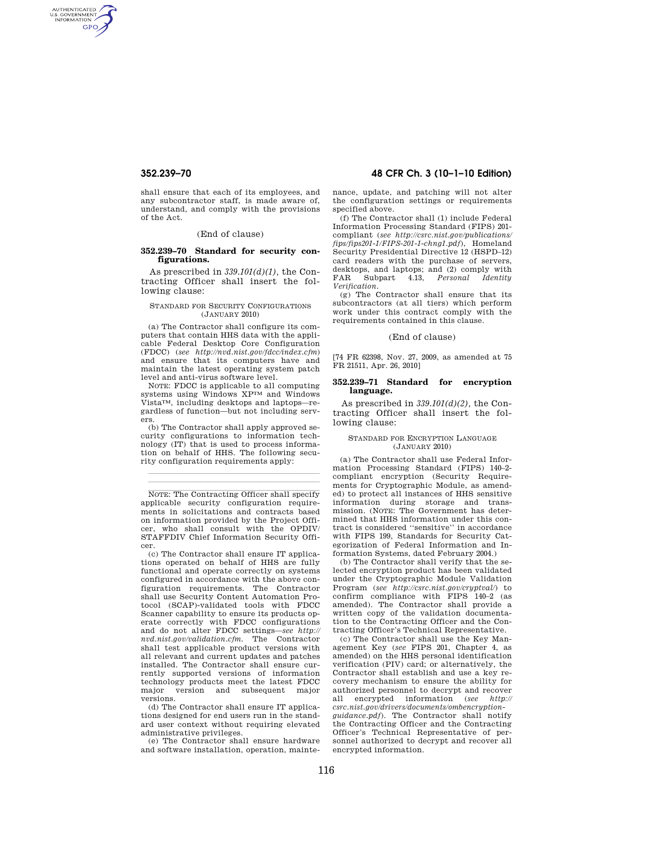AUTHENTICATED<br>U.S. GOVERNMENT<br>INFORMATION **GPO** 

> shall ensure that each of its employees, and any subcontractor staff, is made aware of, understand, and comply with the provisions of the Act.

# (End of clause)

## **352.239–70 Standard for security configurations.**

As prescribed in *339.101(d)(1),* the Contracting Officer shall insert the following clause:

## STANDARD FOR SECURITY CONFIGURATIONS (JANUARY 2010)

(a) The Contractor shall configure its computers that contain HHS data with the applicable Federal Desktop Core Configuration (FDCC) (*see http://nvd.nist.gov/fdcc/index.cfm*) and ensure that its computers have and maintain the latest operating system patch level and anti-virus software level.

NOTE: FDCC is applicable to all computing systems using Windows XPTM and Windows VistaTM, including desktops and laptops—regardless of function—but not including servers.

(b) The Contractor shall apply approved security configurations to information technology (IT) that is used to process information on behalf of HHS. The following security configuration requirements apply:

llland av den stad av den stad av den stad av den stad av den stad av den stad av den stad av den stad av den llland av den stad av den stad av den stad av den stad av den stad av den stad av den stad av den stad av den

NOTE: The Contracting Officer shall specify applicable security configuration requirements in solicitations and contracts based on information provided by the Project Officer, who shall consult with the OPDIV/ STAFFDIV Chief Information Security Officer.

(c) The Contractor shall ensure IT applications operated on behalf of HHS are fully functional and operate correctly on systems configured in accordance with the above configuration requirements. The Contractor shall use Security Content Automation Protocol (SCAP)-validated tools with FDCC Scanner capability to ensure its products operate correctly with FDCC configurations and do not alter FDCC settings—*see http:// nvd.nist.gov/validation.cfm*. The Contractor shall test applicable product versions with all relevant and current updates and patches installed. The Contractor shall ensure currently supported versions of information technology products meet the latest FDCC major version and subsequent major versions.

 $(d)$  The Contractor shall ensure  $IT$  applications designed for end users run in the standard user context without requiring elevated administrative privileges.

(e) The Contractor shall ensure hardware and software installation, operation, mainte-

# **352.239–70 48 CFR Ch. 3 (10–1–10 Edition)**

nance, update, and patching will not alter the configuration settings or requirements specified above.

(f) The Contractor shall (1) include Federal Information Processing Standard (FIPS) 201 compliant (*see http://csrc.nist.gov/publications/ fips/fips201-1/FIPS-201-1-chng1.pdf*), Homeland Security Presidential Directive 12 (HSPD–12) card readers with the purchase of servers, desktops, and laptops; and (2) comply with FAR Subpart 4.13, *Personal Identity Verification.* 

(g) The Contractor shall ensure that its subcontractors (at all tiers) which perform work under this contract comply with the requirements contained in this clause.

#### (End of clause)

[74 FR 62398, Nov. 27, 2009, as amended at 75 FR 21511, Apr. 26, 2010]

## **352.239–71 Standard for encryption language.**

As prescribed in *339.101(d)(2),* the Contracting Officer shall insert the following clause:

#### STANDARD FOR ENCRYPTION LANGUAGE (JANUARY 2010)

(a) The Contractor shall use Federal Information Processing Standard (FIPS) 140–2 compliant encryption (Security Requirements for Cryptographic Module, as amended) to protect all instances of HHS sensitive information during storage and trans-mission. (NOTE: The Government has determined that HHS information under this contract is considered ''sensitive'' in accordance with FIPS 199, Standards for Security Categorization of Federal Information and Information Systems, dated February 2004.)

(b) The Contractor shall verify that the selected encryption product has been validated under the Cryptographic Module Validation Program (*see http://csrc.nist.gov/cryptval/*) to confirm compliance with FIPS 140–2 (as amended). The Contractor shall provide a written copy of the validation documentation to the Contracting Officer and the Contracting Officer's Technical Representative.

(c) The Contractor shall use the Key Management Key (*see* FIPS 201, Chapter 4, as amended) on the HHS personal identification verification (PIV) card; or alternatively, the Contractor shall establish and use a key recovery mechanism to ensure the ability for authorized personnel to decrypt and recover all encrypted information (*see http:// csrc.nist.gov/drivers/documents/ombencryption-*

*guidance.pdf*). The Contractor shall notify the Contracting Officer and the Contracting Officer's Technical Representative of personnel authorized to decrypt and recover all encrypted information.